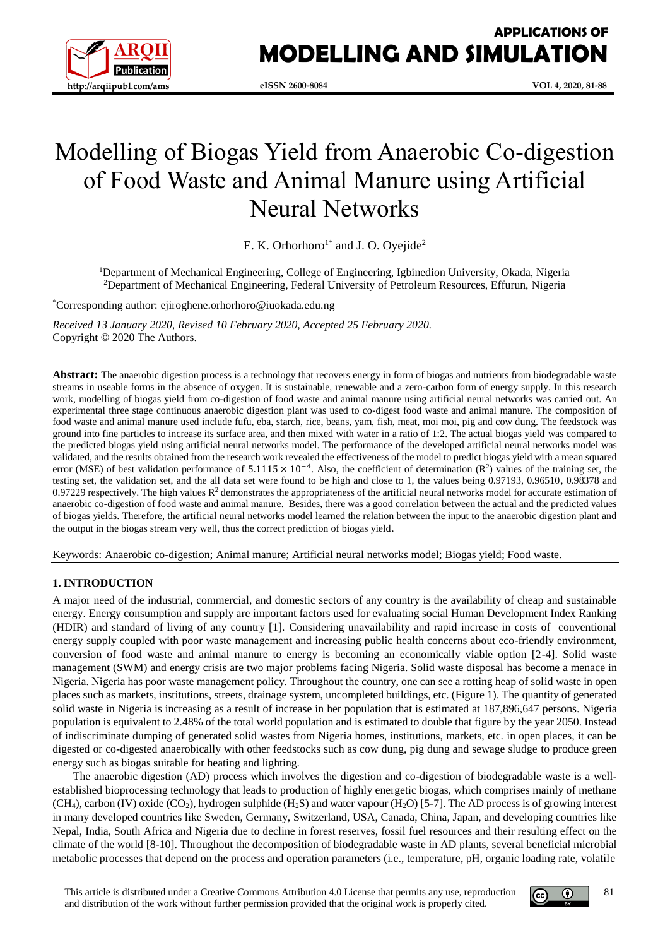

# **APPLICATIONS OF MODELLING AND SIMULATION**

# Modelling of Biogas Yield from Anaerobic Co-digestion of Food Waste and Animal Manure using Artificial Neural Networks

E. K. Orhorhoro<sup>1\*</sup> and J. O. Oyejide<sup>2</sup>

<sup>1</sup>Department of Mechanical Engineering, College of Engineering, Igbinedion University, Okada, Nigeria <sup>2</sup>Department of Mechanical Engineering, Federal University of Petroleum Resources, Effurun, Nigeria

\*Corresponding author: ejiroghene.orhorhoro@iuokada.edu.ng

*Received 13 January 2020, Revised 10 February 2020, Accepted 25 February 2020.* Copyright © 2020 The Authors.

Abstract: The anaerobic digestion process is a technology that recovers energy in form of biogas and nutrients from biodegradable waste streams in useable forms in the absence of oxygen. It is sustainable, renewable and a zero-carbon form of energy supply. In this research work, modelling of biogas yield from co-digestion of food waste and animal manure using artificial neural networks was carried out. An experimental three stage continuous anaerobic digestion plant was used to co-digest food waste and animal manure. The composition of food waste and animal manure used include fufu, eba, starch, rice, beans, yam, fish, meat, moi moi, pig and cow dung. The feedstock was ground into fine particles to increase its surface area, and then mixed with water in a ratio of 1:2. The actual biogas yield was compared to the predicted biogas yield using artificial neural networks model. The performance of the developed artificial neural networks model was validated, and the results obtained from the research work revealed the effectiveness of the model to predict biogas yield with a mean squared error (MSE) of best validation performance of  $5.1115 \times 10^{-4}$ . Also, the coefficient of determination (R<sup>2</sup>) values of the training set, the testing set, the validation set, and the all data set were found to be high and close to 1, the values being 0.97193, 0.96510, 0.98378 and 0.97229 respectively. The high values  $R<sup>2</sup>$  demonstrates the appropriateness of the artificial neural networks model for accurate estimation of anaerobic co-digestion of food waste and animal manure. Besides, there was a good correlation between the actual and the predicted values of biogas yields. Therefore, the artificial neural networks model learned the relation between the input to the anaerobic digestion plant and the output in the biogas stream very well, thus the correct prediction of biogas yield.

Keywords: Anaerobic co-digestion; Animal manure; Artificial neural networks model; Biogas yield; Food waste.

#### **1. INTRODUCTION**

A major need of the industrial, commercial, and domestic sectors of any country is the availability of cheap and sustainable energy. Energy consumption and supply are important factors used for evaluating social Human Development Index Ranking (HDIR) and standard of living of any country [1]. Considering unavailability and rapid increase in costs of conventional energy supply coupled with poor waste management and increasing public health concerns about eco-friendly environment, conversion of food waste and animal manure to energy is becoming an economically viable option [2-4]. Solid waste management (SWM) and energy crisis are two major problems facing Nigeria. Solid waste disposal has become a menace in Nigeria. Nigeria has poor waste management policy. Throughout the country, one can see a rotting heap of solid waste in open places such as markets, institutions, streets, drainage system, uncompleted buildings, etc. (Figure 1). The quantity of generated solid waste in Nigeria is increasing as a result of increase in her population that is estimated at 187,896,647 persons. Nigeria population is equivalent to 2.48% of the total world population and is estimated to double that figure by the year 2050. Instead of indiscriminate dumping of generated solid wastes from Nigeria homes, institutions, markets, etc. in open places, it can be digested or co**-**digested anaerobically with other feedstocks such as cow dung, pig dung and sewage sludge to produce green energy such as biogas suitable for heating and lighting.

The anaerobic digestion (AD) process which involves the digestion and co-digestion of biodegradable waste is a wellestablished bioprocessing technology that leads to production of highly energetic biogas, which comprises mainly of methane (CH4), carbon (IV) oxide (CO2), hydrogen sulphide (H2S) and water vapour (H2O) [5**-**7]. The AD process is of growing interest in many developed countries like Sweden, Germany, Switzerland, USA, Canada, China, Japan, and developing countries like Nepal, India, South Africa and Nigeria due to decline in forest reserves, fossil fuel resources and their resulting effect on the climate of the world [8-10]. Throughout the decomposition of biodegradable waste in AD plants, several beneficial microbial metabolic processes that depend on the process and operation parameters (i.e., temperature, pH, organic loading rate, volatile



81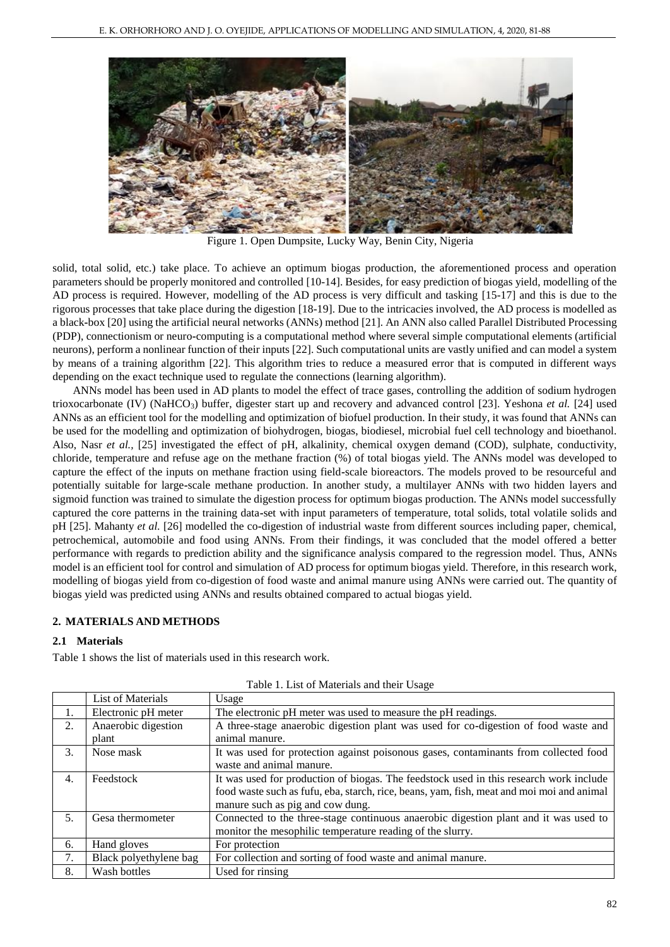

Figure 1. Open Dumpsite, Lucky Way, Benin City, Nigeria

solid, total solid, etc.) take place. To achieve an optimum biogas production, the aforementioned process and operation parameters should be properly monitored and controlled [10-14]. Besides, for easy prediction of biogas yield, modelling of the AD process is required. However, modelling of the AD process is very difficult and tasking [15-17] and this is due to the rigorous processes that take place during the digestion [18-19]. Due to the intricacies involved, the AD process is modelled as a black**-**box [20] using the artificial neural networks (ANNs) method [21]. An ANN also called Parallel Distributed Processing (PDP), connectionism or neuro**-**computing is a computational method where several simple computational elements (artificial neurons), perform a nonlinear function of their inputs [22]. Such computational units are vastly unified and can model a system by means of a training algorithm [22]. This algorithm tries to reduce a measured error that is computed in different ways depending on the exact technique used to regulate the connections (learning algorithm).

ANNs model has been used in AD plants to model the effect of trace gases, controlling the addition of sodium hydrogen trioxocarbonate (IV) (NaHCO3) buffer, digester start up and recovery and advanced control [23]. Yeshona *et al.* [24] used ANNs as an efficient tool for the modelling and optimization of biofuel production. In their study, it was found that ANNs can be used for the modelling and optimization of biohydrogen, biogas, biodiesel, microbial fuel cell technology and bioethanol. Also, Nasr *et al.,* [25] investigated the effect of pH, alkalinity, chemical oxygen demand (COD), sulphate, conductivity, chloride, temperature and refuse age on the methane fraction (%) of total biogas yield. The ANNs model was developed to capture the effect of the inputs on methane fraction using field**-**scale bioreactors. The models proved to be resourceful and potentially suitable for large**-**scale methane production. In another study, a multilayer ANNs with two hidden layers and sigmoid function was trained to simulate the digestion process for optimum biogas production. The ANNs model successfully captured the core patterns in the training data**-**set with input parameters of temperature, total solids, total volatile solids and pH [25]. Mahanty *et al.* [26] modelled the co**-**digestion of industrial waste from different sources including paper, chemical, petrochemical, automobile and food using ANNs. From their findings, it was concluded that the model offered a better performance with regards to prediction ability and the significance analysis compared to the regression model. Thus, ANNs model is an efficient tool for control and simulation of AD process for optimum biogas yield. Therefore, in this research work, modelling of biogas yield from co-digestion of food waste and animal manure using ANNs were carried out. The quantity of biogas yield was predicted using ANNs and results obtained compared to actual biogas yield.

# **2. MATERIALS AND METHODS**

#### **2.1 Materials**

Table 1 shows the list of materials used in this research work.

|                  | List of Materials      | Usage                                                                                     |  |  |
|------------------|------------------------|-------------------------------------------------------------------------------------------|--|--|
| 1.               | Electronic pH meter    | The electronic pH meter was used to measure the pH readings.                              |  |  |
| 2.               | Anaerobic digestion    | A three-stage anaerobic digestion plant was used for co-digestion of food waste and       |  |  |
|                  | plant                  | animal manure.                                                                            |  |  |
| 3.               | Nose mask              | It was used for protection against poisonous gases, contaminants from collected food      |  |  |
|                  |                        | waste and animal manure.                                                                  |  |  |
| $\overline{4}$ . | Feedstock              | It was used for production of biogas. The feedstock used in this research work include    |  |  |
|                  |                        | food waste such as fufu, eba, starch, rice, beans, yam, fish, meat and moi moi and animal |  |  |
|                  |                        | manure such as pig and cow dung.                                                          |  |  |
| 5.               | Gesa thermometer       | Connected to the three-stage continuous anaerobic digestion plant and it was used to      |  |  |
|                  |                        | monitor the mesophilic temperature reading of the slurry.                                 |  |  |
| 6.               | Hand gloves            | For protection                                                                            |  |  |
| 7.               | Black polyethylene bag | For collection and sorting of food waste and animal manure.                               |  |  |
| 8.               | Wash bottles           | Used for rinsing                                                                          |  |  |

Table 1. List of Materials and their Usage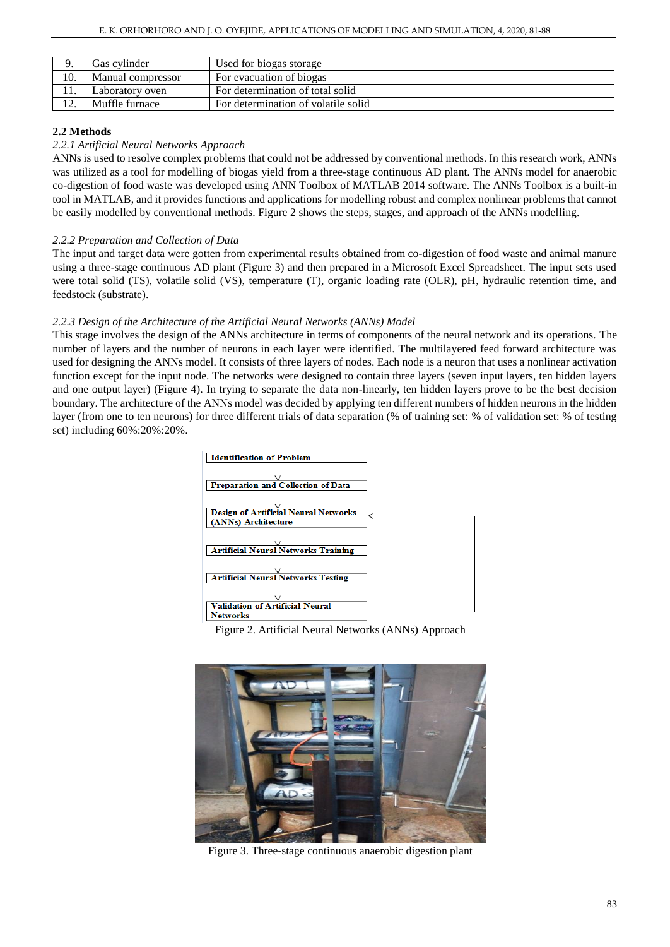|     | Gas cvlinder      | Used for biogas storage             |
|-----|-------------------|-------------------------------------|
| 10. | Manual compressor | For evacuation of biogas            |
| 11. | Laboratory oven   | For determination of total solid    |
|     | Muffle furnace    | For determination of volatile solid |

# **2.2 Methods**

#### *2.2.1 Artificial Neural Networks Approach*

ANNs is used to resolve complex problems that could not be addressed by conventional methods. In this research work, ANNs was utilized as a tool for modelling of biogas yield from a three-stage continuous AD plant. The ANNs model for anaerobic co-digestion of food waste was developed using ANN Toolbox of MATLAB 2014 software. The ANNs Toolbox is a built-in tool in MATLAB, and it provides functions and applications for modelling robust and complex nonlinear problems that cannot be easily modelled by conventional methods. Figure 2 shows the steps, stages, and approach of the ANNs modelling.

# *2.2.2 Preparation and Collection of Data*

The input and target data were gotten from experimental results obtained from co**-**digestion of food waste and animal manure using a three-stage continuous AD plant (Figure 3) and then prepared in a Microsoft Excel Spreadsheet. The input sets used were total solid (TS), volatile solid (VS), temperature (T), organic loading rate (OLR), pH, hydraulic retention time, and feedstock (substrate).

# *2.2.3 Design of the Architecture of the Artificial Neural Networks (ANNs) Model*

This stage involves the design of the ANNs architecture in terms of components of the neural network and its operations. The number of layers and the number of neurons in each layer were identified. The multilayered feed forward architecture was used for designing the ANNs model. It consists of three layers of nodes. Each node is a neuron that uses a nonlinear activation function except for the input node. The networks were designed to contain three layers (seven input layers, ten hidden layers and one output layer) (Figure 4). In trying to separate the data non-linearly, ten hidden layers prove to be the best decision boundary. The architecture of the ANNs model was decided by applying ten different numbers of hidden neurons in the hidden layer (from one to ten neurons) for three different trials of data separation (% of training set: % of validation set: % of testing set) including 60%:20%:20%.



Figure 2. Artificial Neural Networks (ANNs) Approach



Figure 3. Three-stage continuous anaerobic digestion plant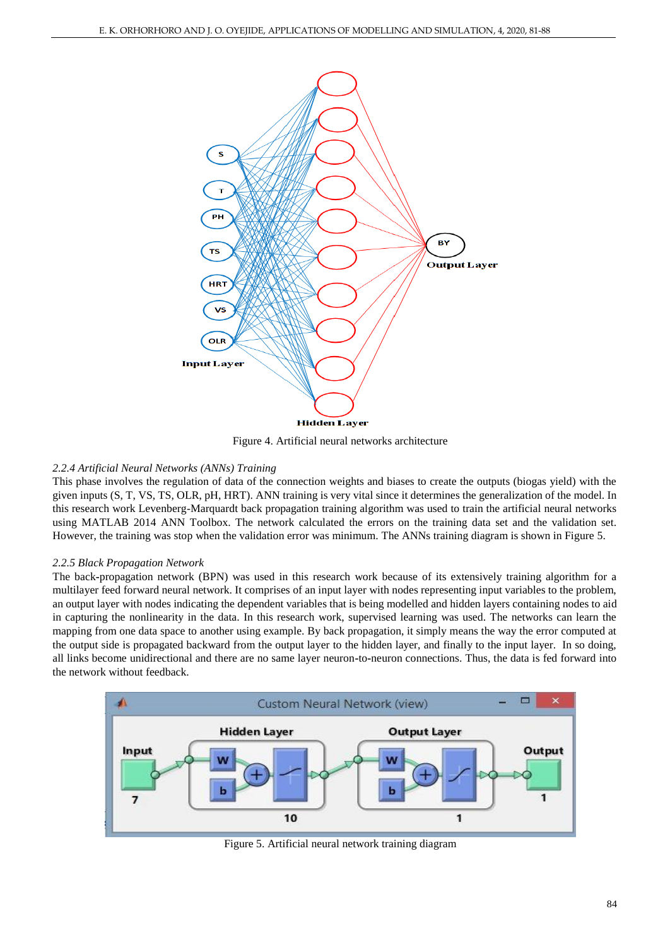

Figure 4. Artificial neural networks architecture

# *2.2.4 Artificial Neural Networks (ANNs) Training*

This phase involves the regulation of data of the connection weights and biases to create the outputs (biogas yield) with the given inputs (S, T, VS, TS, OLR, pH, HRT). ANN training is very vital since it determines the generalization of the model. In this research work Levenberg-Marquardt back propagation training algorithm was used to train the artificial neural networks using MATLAB 2014 ANN Toolbox. The network calculated the errors on the training data set and the validation set. However, the training was stop when the validation error was minimum. The ANNs training diagram is shown in Figure 5.

# *2.2.5 Black Propagation Network*

The back**-**propagation network (BPN) was used in this research work because of its extensively training algorithm for a multilayer feed forward neural network. It comprises of an input layer with nodes representing input variables to the problem, an output layer with nodes indicating the dependent variables that is being modelled and hidden layers containing nodes to aid in capturing the nonlinearity in the data. In this research work, supervised learning was used. The networks can learn the mapping from one data space to another using example. By back propagation, it simply means the way the error computed at the output side is propagated backward from the output layer to the hidden layer, and finally to the input layer. In so doing, all links become unidirectional and there are no same layer neuron**-**to**-**neuron connections. Thus, the data is fed forward into the network without feedback.



Figure 5. Artificial neural network training diagram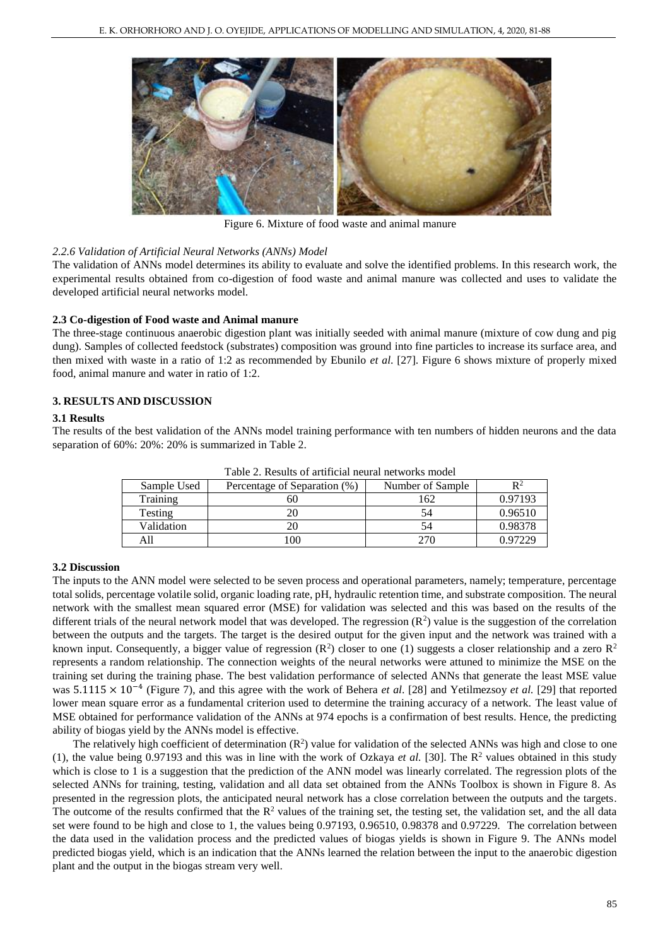

Figure 6. Mixture of food waste and animal manure

# *2.2.6 Validation of Artificial Neural Networks (ANNs) Model*

The validation of ANNs model determines its ability to evaluate and solve the identified problems. In this research work, the experimental results obtained from co-digestion of food waste and animal manure was collected and uses to validate the developed artificial neural networks model.

# **2.3 Co-digestion of Food waste and Animal manure**

The three-stage continuous anaerobic digestion plant was initially seeded with animal manure (mixture of cow dung and pig dung). Samples of collected feedstock (substrates) composition was ground into fine particles to increase its surface area, and then mixed with waste in a ratio of 1:2 as recommended by Ebunilo *et al*. [27]. Figure 6 shows mixture of properly mixed food, animal manure and water in ratio of 1:2.

# **3. RESULTS AND DISCUSSION**

#### **3.1 Results**

The results of the best validation of the ANNs model training performance with ten numbers of hidden neurons and the data separation of 60%: 20%: 20% is summarized in Table 2.

| Sample Used | Percentage of Separation (%) | Number of Sample |         |  |  |  |
|-------------|------------------------------|------------------|---------|--|--|--|
| Training    | 60                           | 62               | 0.97193 |  |  |  |
| Testing     |                              | 54               | 0.96510 |  |  |  |
| Validation  |                              |                  | 0.98378 |  |  |  |
|             | 0 <sup>0</sup>               | 270              | ገ 07220 |  |  |  |

Table 2. Results of artificial neural networks model

#### **3.2 Discussion**

The inputs to the ANN model were selected to be seven process and operational parameters, namely; temperature, percentage total solids, percentage volatile solid, organic loading rate, pH, hydraulic retention time, and substrate composition. The neural network with the smallest mean squared error (MSE) for validation was selected and this was based on the results of the different trials of the neural network model that was developed. The regression  $(R^2)$  value is the suggestion of the correlation between the outputs and the targets. The target is the desired output for the given input and the network was trained with a known input. Consequently, a bigger value of regression ( $R^2$ ) closer to one (1) suggests a closer relationship and a zero  $R^2$ represents a random relationship. The connection weights of the neural networks were attuned to minimize the MSE on the training set during the training phase. The best validation performance of selected ANNs that generate the least MSE value was 5.1115 × 10−4 (Figure 7), and this agree with the work of Behera *et al*. [28] and Yetilmezsoy *et al.* [29] that reported lower mean square error as a fundamental criterion used to determine the training accuracy of a network. The least value of MSE obtained for performance validation of the ANNs at 974 epochs is a confirmation of best results. Hence, the predicting ability of biogas yield by the ANNs model is effective.

The relatively high coefficient of determination  $(R^2)$  value for validation of the selected ANNs was high and close to one (1), the value being 0.97193 and this was in line with the work of Ozkaya *et al.* [30]. The  $\mathbb{R}^2$  values obtained in this study which is close to 1 is a suggestion that the prediction of the ANN model was linearly correlated. The regression plots of the selected ANNs for training, testing, validation and all data set obtained from the ANNs Toolbox is shown in Figure 8. As presented in the regression plots, the anticipated neural network has a close correlation between the outputs and the targets. The outcome of the results confirmed that the  $\mathbb{R}^2$  values of the training set, the testing set, the validation set, and the all data set were found to be high and close to 1, the values being 0.97193, 0.96510, 0.98378 and 0.97229. The correlation between the data used in the validation process and the predicted values of biogas yields is shown in Figure 9. The ANNs model predicted biogas yield, which is an indication that the ANNs learned the relation between the input to the anaerobic digestion plant and the output in the biogas stream very well.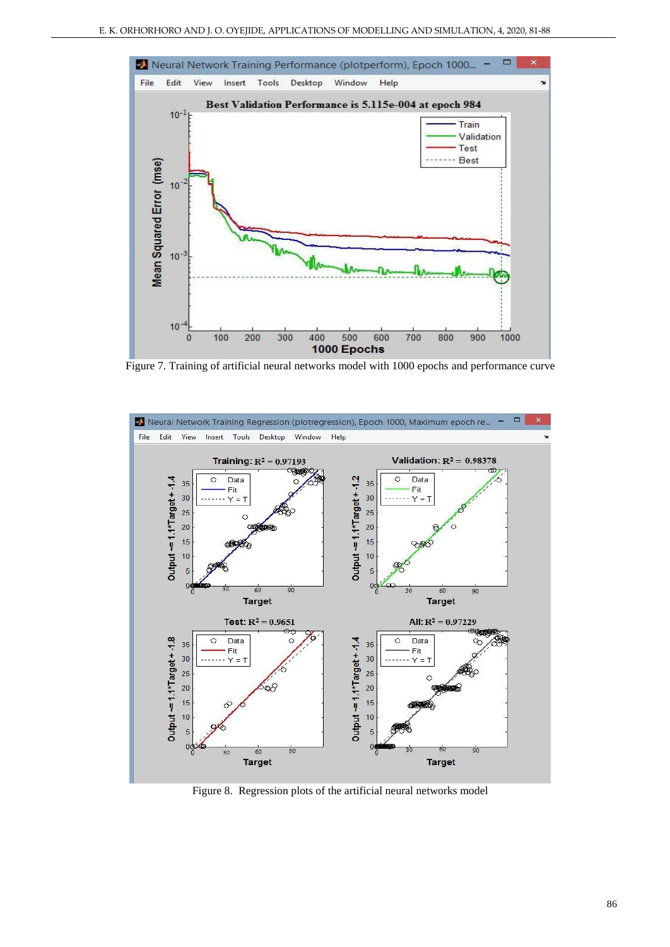

Figure 7. Training of artificial neural networks model with 1000 epochs and performance curve



Figure 8. Regression plots of the artificial neural networks model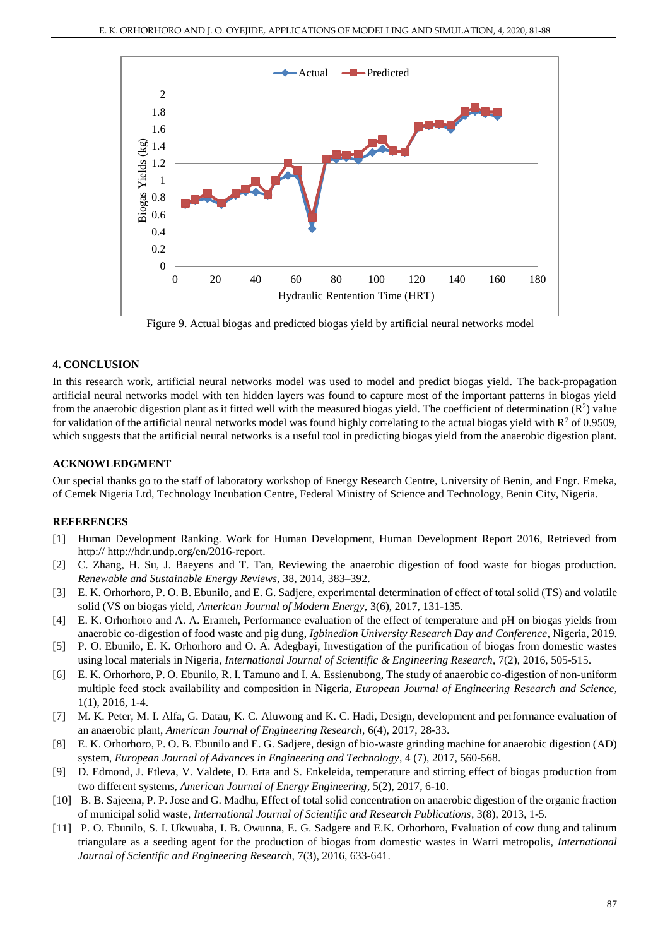

Figure 9. Actual biogas and predicted biogas yield by artificial neural networks model

#### **4. CONCLUSION**

In this research work, artificial neural networks model was used to model and predict biogas yield. The back**-**propagation artificial neural networks model with ten hidden layers was found to capture most of the important patterns in biogas yield from the anaerobic digestion plant as it fitted well with the measured biogas yield. The coefficient of determination  $(R^2)$  value for validation of the artificial neural networks model was found highly correlating to the actual biogas yield with  $R^2$  of 0.9509, which suggests that the artificial neural networks is a useful tool in predicting biogas yield from the anaerobic digestion plant.

#### **ACKNOWLEDGMENT**

Our special thanks go to the staff of laboratory workshop of Energy Research Centre, University of Benin, and Engr. Emeka, of Cemek Nigeria Ltd, Technology Incubation Centre, Federal Ministry of Science and Technology, Benin City, Nigeria.

#### **REFERENCES**

- [1] Human Development Ranking. Work for Human Development, Human Development Report 2016, Retrieved from http:// http://hdr.undp.org/en/2016-report.
- [2] C. Zhang, H. Su, J. Baeyens and T. Tan, Reviewing the anaerobic digestion of food waste for biogas production. *Renewable and Sustainable Energy Reviews,* 38, 2014, 383–392.
- [3] E. K. Orhorhoro, P. O. B. Ebunilo, and E. G. Sadjere, experimental determination of effect of total solid (TS) and volatile solid (VS on biogas yield, *American Journal of Modern Energy,* 3(6), 2017, 131-135.
- [4] E. K. Orhorhoro and A. A. Erameh, Performance evaluation of the effect of temperature and pH on biogas yields from anaerobic co-digestion of food waste and pig dung, *Igbinedion University Research Day and Conference*, Nigeria, 2019.
- [5] P. O. Ebunilo, E. K. Orhorhoro and O. A. Adegbayi, Investigation of the purification of biogas from domestic wastes using local materials in Nigeria, *International Journal of Scientific & Engineering Research*, 7(2), 2016, 505-515.
- [6] E. K. Orhorhoro, P. O. Ebunilo, R. I. Tamuno and I. A. Essienubong, The study of anaerobic co-digestion of non-uniform multiple feed stock availability and composition in Nigeria, *European Journal of Engineering Research and Science,*  1(1), 2016, 1-4.
- [7] M. K. Peter, M. I. Alfa, G. Datau, K. C. Aluwong and K. C. Hadi, Design, development and performance evaluation of an anaerobic plant, *American Journal of Engineering Research*, 6(4), 2017, 28-33.
- [8] E. K. Orhorhoro, P. O. B. Ebunilo and E. G. Sadjere, design of bio-waste grinding machine for anaerobic digestion (AD) system, *European Journal of Advances in Engineering and Technology*, 4 (7), 2017, 560-568.
- [9] D. Edmond, J. Etleva, V. Valdete, D. Erta and S. Enkeleida, temperature and stirring effect of biogas production from two different systems, *American Journal of Energy Engineering,* 5(2), 2017, 6-10.
- [10] B. B. Sajeena, P. P. Jose and G. Madhu, Effect of total solid concentration on anaerobic digestion of the organic fraction of municipal solid waste, *International Journal of Scientific and Research Publications,* 3(8), 2013, 1-5.
- [11] P. O. Ebunilo, S. I. Ukwuaba, I. B. Owunna, E. G. Sadgere and E.K. Orhorhoro, Evaluation of cow dung and talinum triangulare as a seeding agent for the production of biogas from domestic wastes in Warri metropolis, *International Journal of Scientific and Engineering Research,* 7(3), 2016, 633-641.